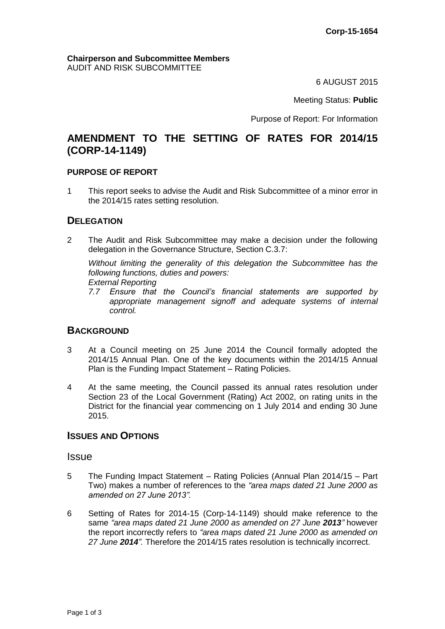#### **Chairperson and Subcommittee Members** AUDIT AND RISK SUBCOMMITTEE

6 AUGUST 2015

Meeting Status: **Public**

Purpose of Report: For Information

# **AMENDMENT TO THE SETTING OF RATES FOR 2014/15 (CORP-14-1149)**

#### **PURPOSE OF REPORT**

1 This report seeks to advise the Audit and Risk Subcommittee of a minor error in the 2014/15 rates setting resolution.

## **DELEGATION**

2 The Audit and Risk Subcommittee may make a decision under the following delegation in the Governance Structure, Section C.3.7:

*Without limiting the generality of this delegation the Subcommittee has the following functions, duties and powers: External Reporting*

*7.7 Ensure that the Council's financial statements are supported by appropriate management signoff and adequate systems of internal control.*

## **BACKGROUND**

- 3 At a Council meeting on 25 June 2014 the Council formally adopted the 2014/15 Annual Plan. One of the key documents within the 2014/15 Annual Plan is the Funding Impact Statement – Rating Policies.
- 4 At the same meeting, the Council passed its annual rates resolution under Section 23 of the Local Government (Rating) Act 2002, on rating units in the District for the financial year commencing on 1 July 2014 and ending 30 June 2015.

#### **ISSUES AND OPTIONS**

#### **Issue**

- 5 The Funding Impact Statement Rating Policies (Annual Plan 2014/15 Part Two) makes a number of references to the *"area maps dated 21 June 2000 as amended on 27 June 2013".*
- 6 Setting of Rates for 2014-15 (Corp-14-1149) should make reference to the same *"area maps dated 21 June 2000 as amended on 27 June 2013"* however the report incorrectly refers to *"area maps dated 21 June 2000 as amended on 27 June 2014".* Therefore the 2014/15 rates resolution is technically incorrect.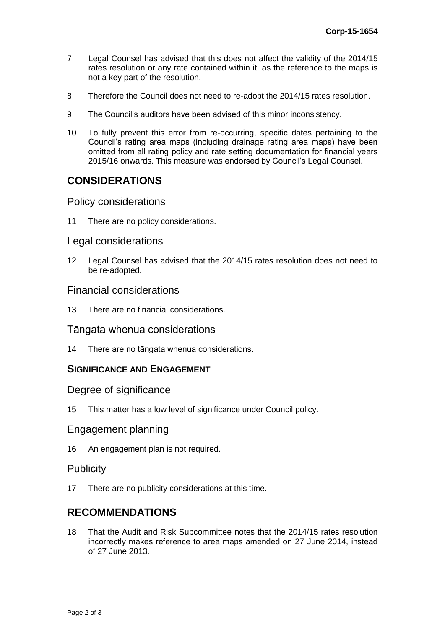- 7 Legal Counsel has advised that this does not affect the validity of the 2014/15 rates resolution or any rate contained within it, as the reference to the maps is not a key part of the resolution.
- 8 Therefore the Council does not need to re-adopt the 2014/15 rates resolution.
- 9 The Council's auditors have been advised of this minor inconsistency.
- 10 To fully prevent this error from re-occurring, specific dates pertaining to the Council's rating area maps (including drainage rating area maps) have been omitted from all rating policy and rate setting documentation for financial years 2015/16 onwards. This measure was endorsed by Council's Legal Counsel.

# **CONSIDERATIONS**

## Policy considerations

11 There are no policy considerations.

## Legal considerations

12 Legal Counsel has advised that the 2014/15 rates resolution does not need to be re-adopted.

#### Financial considerations

13 There are no financial considerations.

## Tāngata whenua considerations

14 There are no tāngata whenua considerations.

## **SIGNIFICANCE AND ENGAGEMENT**

## Degree of significance

15 This matter has a low level of significance under Council policy.

## Engagement planning

16 An engagement plan is not required.

## **Publicity**

17 There are no publicity considerations at this time.

## **RECOMMENDATIONS**

18 That the Audit and Risk Subcommittee notes that the 2014/15 rates resolution incorrectly makes reference to area maps amended on 27 June 2014, instead of 27 June 2013.